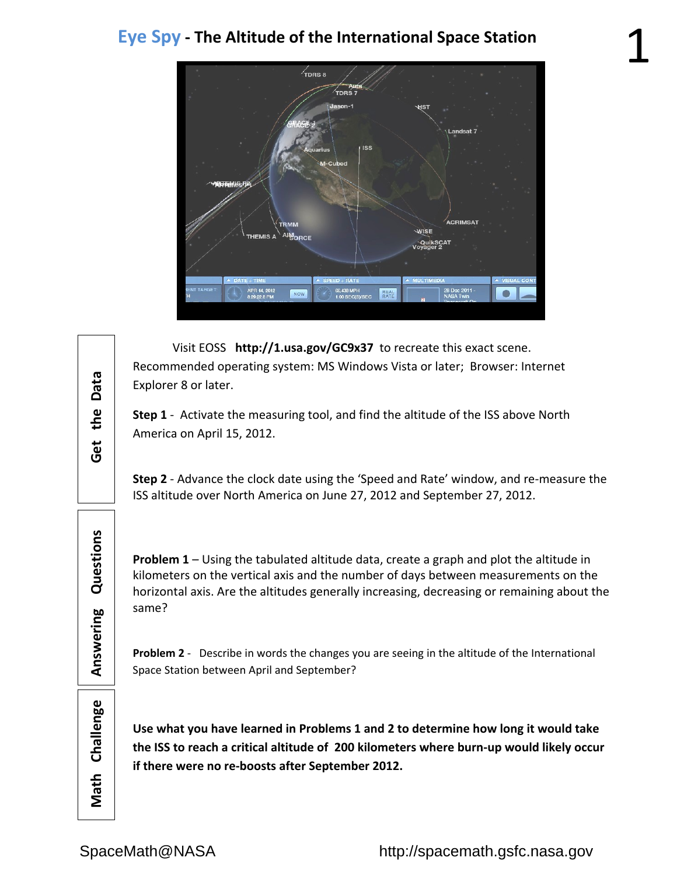

Visit EOSS http://1.usa.gov/GC9x37 to recreate this exact scene. Recommended operating system: MS Windows Vista or later; Browser: Internet Explorer 8 or later.

**Step 1** ‐ Activate the measuring tool, and find the altitude of the ISS above North America on April 15, 2012.

**Step 2** ‐ Advance the clock date using the 'Speed and Rate' window, and re‐measure the ISS altitude over North America on June 27, 2012 and September 27, 2012.

**Problem 1** – Using the tabulated altitude data, create a graph and plot the altitude in kilometers on the vertical axis and the number of days between measurements on the horizontal axis. Are the altitudes generally increasing, decreasing or remaining about the same?

**Problem 2** ‐ Describe in words the changes you are seeing in the altitude of the International Space Station between April and September?

Challenge **Math**

**Use what you have learned in Problems 1 and 2 to determine how long it would take the ISS to reach a critical altitude of 200 kilometers where burn‐up would likely occur if there were no re‐boosts after September 2012.**

Questions

Answering